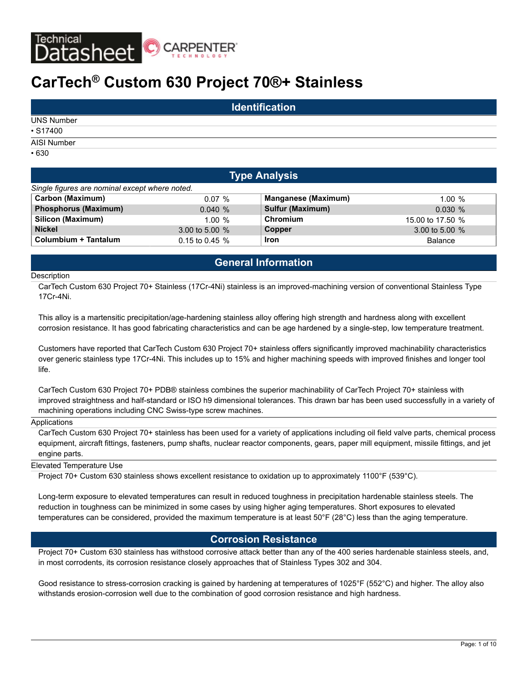

## **CarTech® Custom 630 Project 70®+ Stainless**

|                   | <b>Identification</b> |  |
|-------------------|-----------------------|--|
| <b>UNS Number</b> |                       |  |
| $\cdot$ S17400    |                       |  |
| AISI Number       |                       |  |
| $\cdot 630$       |                       |  |

| <b>Type Analysis</b>                           |                  |                            |                  |  |  |  |  |  |  |  |
|------------------------------------------------|------------------|----------------------------|------------------|--|--|--|--|--|--|--|
| Single figures are nominal except where noted. |                  |                            |                  |  |  |  |  |  |  |  |
| <b>Carbon (Maximum)</b>                        | 0.07%            | <b>Manganese (Maximum)</b> | $1.00 \%$        |  |  |  |  |  |  |  |
| <b>Phosphorus (Maximum)</b>                    | 0.040%           | <b>Sulfur (Maximum)</b>    | 0.030%           |  |  |  |  |  |  |  |
| Silicon (Maximum)                              | 1.00%            | Chromium                   | 15.00 to 17.50 % |  |  |  |  |  |  |  |
| <b>Nickel</b>                                  | 3.00 to 5.00 $%$ | Copper                     | 3.00 to 5.00 $%$ |  |  |  |  |  |  |  |
| Columbium + Tantalum                           | 0.15 to 0.45 $%$ | <b>Iron</b>                | Balance          |  |  |  |  |  |  |  |

## **General Information**

#### **Description**

CarTech Custom 630 Project 70+ Stainless (17Cr-4Ni) stainless is an improved-machining version of conventional Stainless Type 17Cr-4Ni.

This alloy is a martensitic precipitation/age-hardening stainless alloy offering high strength and hardness along with excellent corrosion resistance. It has good fabricating characteristics and can be age hardened by a single-step, low temperature treatment.

Customers have reported that CarTech Custom 630 Project 70+ stainless offers significantly improved machinability characteristics over generic stainless type 17Cr-4Ni. This includes up to 15% and higher machining speeds with improved finishes and longer tool life.

CarTech Custom 630 Project 70+ PDB® stainless combines the superior machinability of CarTech Project 70+ stainless with improved straightness and half-standard or ISO h9 dimensional tolerances. This drawn bar has been used successfully in a variety of machining operations including CNC Swiss-type screw machines.

#### Applications

CarTech Custom 630 Project 70+ stainless has been used for a variety of applications including oil field valve parts, chemical process equipment, aircraft fittings, fasteners, pump shafts, nuclear reactor components, gears, paper mill equipment, missile fittings, and jet engine parts.

## Elevated Temperature Use

Project 70+ Custom 630 stainless shows excellent resistance to oxidation up to approximately 1100°F (539°C).

Long-term exposure to elevated temperatures can result in reduced toughness in precipitation hardenable stainless steels. The reduction in toughness can be minimized in some cases by using higher aging temperatures. Short exposures to elevated temperatures can be considered, provided the maximum temperature is at least 50°F (28°C) less than the aging temperature.

## **Corrosion Resistance**

Project 70+ Custom 630 stainless has withstood corrosive attack better than any of the 400 series hardenable stainless steels, and, in most corrodents, its corrosion resistance closely approaches that of Stainless Types 302 and 304.

Good resistance to stress-corrosion cracking is gained by hardening at temperatures of 1025°F (552°C) and higher. The alloy also withstands erosion-corrosion well due to the combination of good corrosion resistance and high hardness.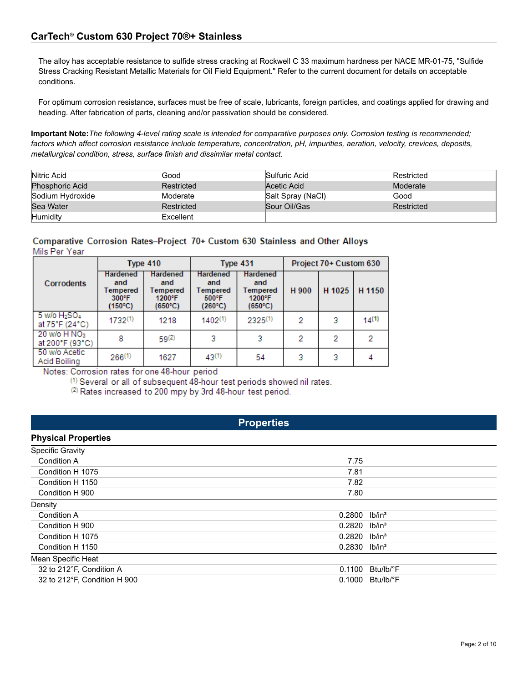The alloy has acceptable resistance to sulfide stress cracking at Rockwell C 33 maximum hardness per NACE MR-01-75, "Sulfide Stress Cracking Resistant Metallic Materials for Oil Field Equipment." Refer to the current document for details on acceptable conditions.

For optimum corrosion resistance, surfaces must be free of scale, lubricants, foreign particles, and coatings applied for drawing and heading. After fabrication of parts, cleaning and/or passivation should be considered.

**Important Note:***The following 4-level rating scale is intended for comparative purposes only. Corrosion testing is recommended; factors which affect corrosion resistance include temperature, concentration, pH, impurities, aeration, velocity, crevices, deposits, metallurgical condition, stress, surface finish and dissimilar metal contact.*

| Nitric Acid            | Good       | Sulfuric Acid     | Restricted |
|------------------------|------------|-------------------|------------|
| <b>Phosphoric Acid</b> | Restricted | Acetic Acid       | Moderate   |
| Sodium Hydroxide       | Moderate   | Salt Spray (NaCl) | Good       |
| Sea Water              | Restricted | Sour Oil/Gas      | Restricted |
| Humidity               | Excellent  |                   |            |

## Comparative Corrosion Rates-Project 70+ Custom 630 Stainless and Other Alloys Mils Per Year

|                                               |                                                                           | Type 410                                                |                                                                           | Type 431                                                          | Project 70+ Custom 630 |        |            |  |
|-----------------------------------------------|---------------------------------------------------------------------------|---------------------------------------------------------|---------------------------------------------------------------------------|-------------------------------------------------------------------|------------------------|--------|------------|--|
| Corrodents                                    | <b>Hardened</b><br>and<br>Tempered<br>$300^{\circ}$ F<br>$(150^{\circ}C)$ | <b>Hardened</b><br>and<br>Tempered<br>1200°F<br>(650°C) | <b>Hardened</b><br>and<br>Tempered<br>$500^{\circ}$ F<br>$(260^{\circ}C)$ | <b>Hardened</b><br>and<br>Tempered<br>1200°F<br>$(650^{\circ}$ C) |                        | H 1025 | H 1150     |  |
| $5$ W/o $H2SO4$<br>at 75°F (24°C)             | $1732^{(1)}$                                                              | 1218                                                    | $1402^{(1)}$                                                              | $2325^{(1)}$                                                      | 2                      | 3      | $14^{(1)}$ |  |
| $20$ w/o H NO <sub>3</sub><br>at 200°F (93°C) | 8                                                                         | $59^{(2)}$                                              | з                                                                         | 3                                                                 | 2                      | 2      | 2          |  |
| 50 w/o Acetic<br>Acid Boiling                 | $266^{(1)}$                                                               | 1627<br>---                                             | $43^{(1)}$                                                                | 54                                                                | 3                      | 3      |            |  |

Notes: Corrosion rates for one 48-hour period

<sup>(1)</sup> Several or all of subsequent 48-hour test periods showed nil rates.

(2) Rates increased to 200 mpy by 3rd 48-hour test period.

## **Properties**

| <b>Physical Properties</b>   |                             |                              |
|------------------------------|-----------------------------|------------------------------|
| <b>Specific Gravity</b>      |                             |                              |
| Condition A                  | 7.75                        |                              |
| Condition H 1075             | 7.81                        |                              |
| Condition H 1150             | 7.82                        |                              |
| Condition H 900              | 7.80                        |                              |
| Density                      |                             |                              |
| <b>Condition A</b>           | 0.2800                      | lb/in <sup>3</sup>           |
| Condition H 900              | $0.2820$ lb/in <sup>3</sup> |                              |
| Condition H 1075             | $0.2820$ lb/in <sup>3</sup> |                              |
| Condition H 1150             | $0.2830$ lb/in <sup>3</sup> |                              |
| Mean Specific Heat           |                             |                              |
| 32 to 212°F, Condition A     | 0.1100                      | Btu/lb/°F                    |
| 32 to 212°F, Condition H 900 |                             | $0.1000$ Btu/lb/ $\degree$ F |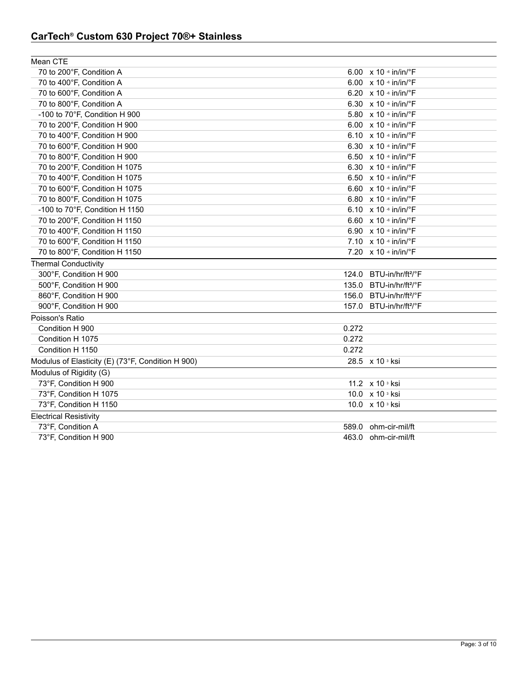## **CarTech® Custom 630 Project 70®+ Stainless**

| Mean CTE                                          |       |                                           |
|---------------------------------------------------|-------|-------------------------------------------|
| 70 to 200°F, Condition A                          |       | 6.00 x 10 6 in/in/°F                      |
| 70 to 400°F, Condition A                          |       | 6.00 x 10 6 in/in/°F                      |
| 70 to 600°F, Condition A                          |       | 6.20 x 10 · in/in/°F                      |
| 70 to 800°F, Condition A                          |       | 6.30 $\times$ 10 $\cdot$ in/in/ $\cdot$ F |
| -100 to 70°F, Condition H 900                     |       | 5.80 x 10 6 in/in/°F                      |
| 70 to 200°F, Condition H 900                      |       | 6.00 x 10 6 in/in/°F                      |
| 70 to 400°F, Condition H 900                      |       | 6.10 x 10 + in/in/°F                      |
| 70 to 600°F, Condition H 900                      |       | 6.30 x 10 6 in/in/°F                      |
| 70 to 800°F, Condition H 900                      |       | 6.50 x 10 6 in/in/°F                      |
| 70 to 200°F, Condition H 1075                     |       | 6.30 x 10 6 in/in/°F                      |
| 70 to 400°F, Condition H 1075                     |       | 6.50 x 10 6 in/in/°F                      |
| 70 to 600°F, Condition H 1075                     |       | 6.60 x 10 6 in/in/°F                      |
| 70 to 800°F, Condition H 1075                     |       | 6.80 x 10 6 in/in/°F                      |
| -100 to 70°F, Condition H 1150                    |       | 6.10 x 10 + in/in/°F                      |
| 70 to 200°F, Condition H 1150                     |       | 6.60 x 10 6 in/in/°F                      |
| 70 to 400°F, Condition H 1150                     |       | 6.90 x 10 6 in/in/°F                      |
| 70 to 600°F, Condition H 1150                     |       | 7.10 x 10 6 in/in/°F                      |
| 70 to 800°F, Condition H 1150                     |       | 7.20 x 10 6 in/in/°F                      |
| <b>Thermal Conductivity</b>                       |       |                                           |
| 300°F, Condition H 900                            | 124.0 | BTU-in/hr/ft <sup>2</sup> /°F             |
| 500°F, Condition H 900                            |       | 135.0 BTU-in/hr/ft <sup>2</sup> /°F       |
| 860°F, Condition H 900                            | 156.0 | BTU-in/hr/ft <sup>2</sup> /°F             |
| 900°F, Condition H 900                            | 157.0 | BTU-in/hr/ft <sup>2</sup> /°F             |
| Poisson's Ratio                                   |       |                                           |
| Condition H 900                                   | 0.272 |                                           |
| Condition H 1075                                  | 0.272 |                                           |
| Condition H 1150                                  | 0.272 |                                           |
| Modulus of Elasticity (E) (73°F, Condition H 900) |       | 28.5 x 10 s ksi                           |
| Modulus of Rigidity (G)                           |       |                                           |
| 73°F, Condition H 900                             |       | 11.2 x 10 s ksi                           |
| 73°F, Condition H 1075                            |       | 10.0 x 10 3 ksi                           |
| 73°F, Condition H 1150                            |       | 10.0 x 10 3 ksi                           |
| <b>Electrical Resistivity</b>                     |       |                                           |
| 73°F, Condition A                                 |       | 589.0 ohm-cir-mil/ft                      |
| 73°F, Condition H 900                             |       | 463.0 ohm-cir-mil/ft                      |
|                                                   |       |                                           |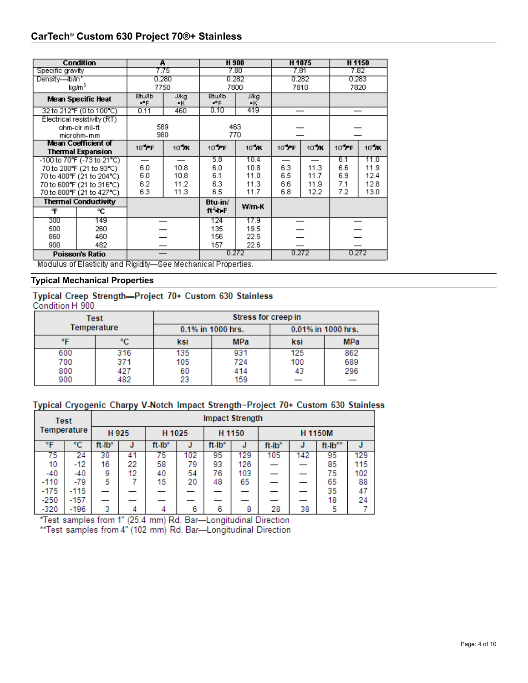## **CarTech® Custom 630 Project 70®+ Stainless**

|                  | <b>Condition</b>            |                        | А          | H 900                  |            |       | H <sub>1075</sub> | H <sub>1150</sub> |       |  |
|------------------|-----------------------------|------------------------|------------|------------------------|------------|-------|-------------------|-------------------|-------|--|
| Specific gravity |                             |                        | 7.75       |                        | 7.80       |       | 7.81              |                   | 7.82  |  |
| Density—Ib/in*   |                             |                        | 0.280      |                        | 0.282      | 0.282 |                   | 0.283             |       |  |
|                  | kg/m <sup>3</sup>           | 7750                   |            | 7800                   |            |       | 7810              |                   | 7820  |  |
|                  | <b>Mean Specific Heat</b>   | <b>Btu/Ib</b><br>$P$ F | J/kg<br>•к | <b>Btu/Ib</b><br>$P$ F | Jikg<br>•ĸ |       |                   |                   |       |  |
|                  | 32 to 212°F (0 to 100°C)    | 0.11                   | 460        | 0.10                   | 419        |       |                   |                   |       |  |
|                  | Electrical resistivity (RT) |                        |            |                        |            |       |                   |                   |       |  |
|                  | ohm-cir mil-ft              | 589                    |            |                        | 463        |       |                   |                   |       |  |
|                  | microhm-mm                  |                        | 980        |                        | 770        |       |                   |                   |       |  |
|                  | Mean Coefficient of         | 10 FF                  | $10^4$ K   | 10 FF                  | 10 XK      | 10 FF | $10^4$ K          | 10 FF             | 10 YK |  |
|                  | <b>Thermal Expansion</b>    |                        |            |                        |            |       |                   |                   |       |  |
|                  | -100 to 70°F (-73 to 21°C)  |                        |            | 5.8                    | 10.4       |       |                   | 6.1               | 11.0  |  |
|                  | 70 to 200°F (21 to 93°C)    | 6.0                    | 10.8       | 6.0                    | 10.8       | 6.3   | 11.3              | 6.6               | 11.9  |  |
|                  | 70 to 400°F (21 to 204°C)   | 6.0                    | 10.8       | 6.1                    | 11.0       | 6.5   | 11.7              | 6.9               | 12.4  |  |
|                  | 70 to 600°F (21 to 316°C)   | 6.2                    | 11.2       | 6.3                    | 11.3       | 6.6   | 11.9              | 7.1               | 12.8  |  |
|                  | 70 to 800°F (21 to 427°C)   | 6.3                    | 11.3       | 6.5                    | 11.7       | 6.8   | 12.2              | 7.2               | 13.0  |  |
|                  | <b>Thermal Conductivity</b> |                        |            | Btu-in/                | W/m-K      |       |                   |                   |       |  |
| ºF               | ۹C                          |                        |            | $ft2$ th F             |            |       |                   |                   |       |  |
| 300              | 149                         |                        |            | 124                    | 17.9       |       |                   |                   |       |  |
| 500              | 260                         |                        |            | 135                    | 19.5       |       |                   |                   |       |  |
| 860              | 460                         |                        |            | 156                    | 22.5       |       |                   |                   |       |  |
| 900              | 482                         |                        |            | 157                    | 22.6       |       |                   |                   |       |  |
|                  | Poisson's Ratio             |                        |            | 0.272                  |            | 0.272 |                   | 0.272             |       |  |

Modulus of Elasticity and Rigidity-See Mechanical Properties.

## **Typical Mechanical Properties**

# Typical Creep Strength-Project 70+ Custom 630 Stainless<br>Condition H 900

|             | Test | Stress for creep in                     |            |                   |     |  |  |  |
|-------------|------|-----------------------------------------|------------|-------------------|-----|--|--|--|
| Temperature |      | 0.01% in 1000 hrs.<br>0.1% in 1000 hrs. |            |                   |     |  |  |  |
| ᅂ           | °C   | ksi                                     | <b>MPa</b> | <b>MPa</b><br>ksi |     |  |  |  |
| 600         | 316  | 135                                     | 931        | 125               | 862 |  |  |  |
| 700         | 371  | 105                                     | 724        | 100               | 689 |  |  |  |
| 800         | 427  | 60                                      | 414        | 43                | 296 |  |  |  |
| 900         | 482  | 23                                      | 159        |                   |     |  |  |  |

## Typical Cryogenic Charpy V-Notch Impact Strength-Project 70+ Custom 630 Stainless

|             | Test   | <b>Impact Strength</b> |       |        |                  |        |         |        |     |                |     |
|-------------|--------|------------------------|-------|--------|------------------|--------|---------|--------|-----|----------------|-----|
| Temperature |        |                        | H 925 |        | H 1025<br>H 1150 |        | H 1150M |        |     |                |     |
| ۰F          | °C     | ft Ib*                 | J     | ft-lb* | J                | ft-lb* | J       | ft-lb* | J   | $ft$ - $lb***$ |     |
| 75          | 24     | 30                     | 41    | 75     | 102              | 95     | 129     | 105    | 142 | 95             | 129 |
| 10          | -12    | 16                     | 22    | 58     | 79               | 93     | 126     |        |     | 85             | 115 |
| $-40$       | -40    | 9                      | 12    | 40     | 54               | 76     | 103     |        |     | 75             | 102 |
| $-110$      | $-79$  | 5                      |       | 15     | 20               | 48     | 65      |        |     | 65             | 88  |
| $-175$      | $-115$ |                        |       |        |                  |        |         |        |     | 35             | 47  |
| $-250$      | -157   |                        |       |        |                  |        |         |        |     | 18             | 24  |
| $-320$      | -196   | 3                      |       | 4      | 6                | 6      | 8       | 28     | 38  | 5              |     |

\*Test samples from 1" (25.4 mm) Rd. Bar-Longitudinal Direction<br>\*\*Test samples from 4" (102 mm) Rd. Bar-Longitudinal Direction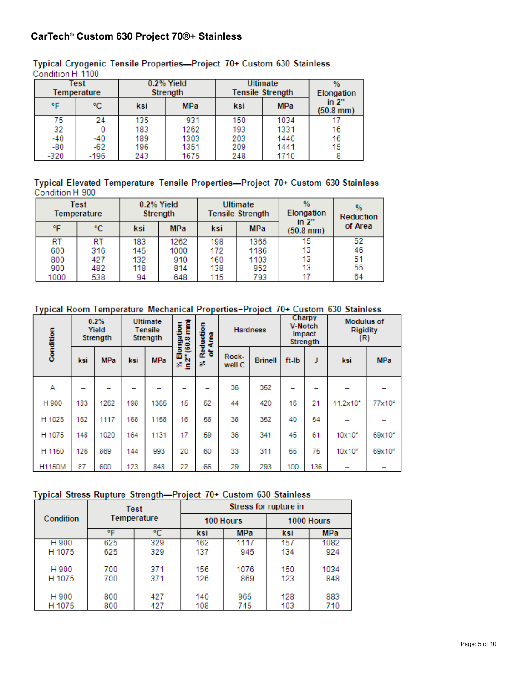|        | Test<br>Temperature |     | 0.2% Yield<br>Strength | <b>Ultimate</b><br><b>Tensile Strength</b> | Elongation |                      |  |
|--------|---------------------|-----|------------------------|--------------------------------------------|------------|----------------------|--|
| ۹F     | °C.                 | ksi | <b>MPa</b>             | ksi                                        | <b>MPa</b> | in 2"<br>$(50.8$ mm) |  |
| 75     | 24                  | 135 | 931                    | 150                                        | 1034       |                      |  |
| 32     |                     | 183 | 1262                   | 193                                        | 1331       | 16                   |  |
| -40    | -40                 | 189 | 1303                   | 203                                        | 1440       | 16                   |  |
| -80    | $-62$               | 196 | 1351                   | 209                                        | 1441       | 15                   |  |
| $-320$ | -196                | 243 | 1675                   | 248                                        | 1710       |                      |  |

## Typical Cryogenic Tensile Properties-Project 70+ Custom 630 Stainless Condition H 1100

Typical Elevated Temperature Tensile Properties-Project 70+ Custom 630 Stainless Condition H 900

|      | Test<br>Temperature | 0.2% Yield<br><b>Strength</b> |            | Ultimate<br><b>Tensile Strength</b> |            | $\frac{9}{6}$<br>Elongation    | $\%$<br><b>Reduction</b> |  |
|------|---------------------|-------------------------------|------------|-------------------------------------|------------|--------------------------------|--------------------------|--|
| °F   | °C.                 | ksi                           | <b>MPa</b> | ksi                                 | <b>MPa</b> | in $2"$<br>$(50.8 \text{ mm})$ | of Area                  |  |
| RT   | RT                  | 183                           | 1262       | 198                                 | 1365       | 15                             | 52                       |  |
| 600  | 316                 | 145                           | 1000       | 172                                 | 1186       | 13                             | 46                       |  |
| 800  | 427                 | 132                           | 910        | 160                                 | 1103       | 13                             | 51                       |  |
| 900  | 482                 | 118                           | 814        | 138                                 | 952        | 13                             | 55                       |  |
| 1000 | 538                 | 94                            | 648        | 115                                 | 793        | 17                             | 64                       |  |

## Typical Room Temperature Mechanical Properties-Project 70+ Custom 630 Stainless

| Condition     |     | 0.2%<br>Yield<br>Strength |     | <b>Ultimate</b><br><b>Tensile</b><br>Strength | <b>Modulus of</b><br>Î<br>% Elongation<br>in 2" (50.8 mm)<br>Reduction<br><b>V-Notch</b><br><b>Hardness</b><br><b>Rigidity</b><br>Impact<br>Area<br>(R)<br>Strength |         | Charpy          |                |       |     |                      |                    |
|---------------|-----|---------------------------|-----|-----------------------------------------------|---------------------------------------------------------------------------------------------------------------------------------------------------------------------|---------|-----------------|----------------|-------|-----|----------------------|--------------------|
|               | ksi | <b>MPa</b>                | ksi | <b>MPa</b>                                    |                                                                                                                                                                     | ъ<br>s. | Rock-<br>well C | <b>Brinell</b> | ft-lb | J   | ksi                  | <b>MPa</b>         |
| А             |     |                           |     |                                               |                                                                                                                                                                     |         | 36              | 352            |       |     |                      |                    |
| H 900         | 183 | 1262                      | 198 | 1365                                          | 15                                                                                                                                                                  | 52      | 44              | 420            | 16    | 21  | $11.2 \times 10^{4}$ | 77x10 <sup>4</sup> |
| H 1025        | 162 | 1117                      | 168 | 1158                                          | 16                                                                                                                                                                  | 58      | 38              | 352            | 40    | 54  |                      |                    |
| H 1075        | 148 | 1020                      | 164 | 1131                                          | 17                                                                                                                                                                  | 59      | 36              | 341            | 45    | 61  | $10\times10^6$       | $69x10^5$          |
| H 1150        | 126 | 869                       | 144 | 993                                           | 20                                                                                                                                                                  | 60      | 33              | 311            | 55    | 75  | $10\times10^6$       | 69x10 <sup>6</sup> |
| <b>H1150M</b> | 87  | 600                       | 123 | 848                                           | 22                                                                                                                                                                  | 66      | 29              | 293            | 100   | 136 |                      |                    |

## Typical Stress Rupture Strength-Project 70+ Custom 630 Stainless

|           |     | Test        | Stress for rupture in |            |            |            |  |  |
|-----------|-----|-------------|-----------------------|------------|------------|------------|--|--|
| Condition |     | Temperature |                       | 100 Hours  | 1000 Hours |            |  |  |
|           | ۰F  | ۰c          | ksi                   | <b>MPa</b> | ksi        | <b>MPa</b> |  |  |
| H 900     | 625 | 329         | 162                   | 1117       | 157        | 1082       |  |  |
| H 1075    | 625 | 329         | 137                   | 945        | 134        | 924        |  |  |
| H 900     | 700 | 371         | 156                   | 1076       | 150        | 1034       |  |  |
| H 1075    | 700 | 371         | 126                   | 869        | 123        | 848        |  |  |
| H 900     | 800 | 427         | 140                   | 965        | 128        | 883        |  |  |
| H 1075    | 800 | 427         | 108                   | 745        | 103        | 710        |  |  |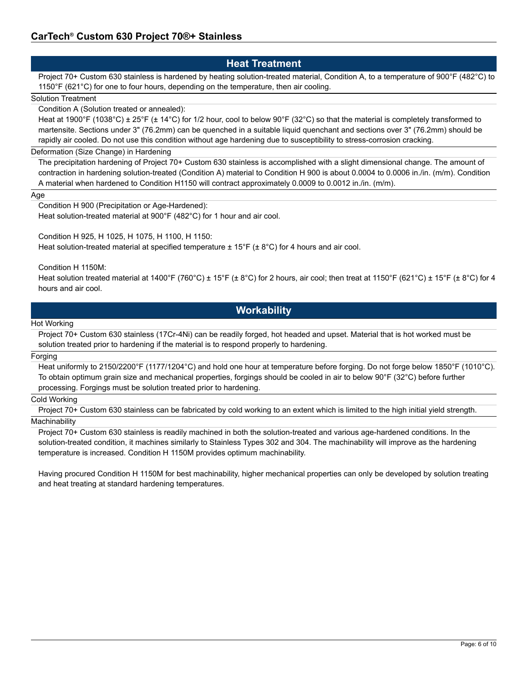## **Heat Treatment**

Project 70+ Custom 630 stainless is hardened by heating solution-treated material, Condition A, to a temperature of 900°F (482°C) to 1150°F (621°C) for one to four hours, depending on the temperature, then air cooling.

### Solution Treatment

Condition A (Solution treated or annealed):

Heat at 1900°F (1038°C) ± 25°F (± 14°C) for 1/2 hour, cool to below 90°F (32°C) so that the material is completely transformed to martensite. Sections under 3" (76.2mm) can be quenched in a suitable liquid quenchant and sections over 3" (76.2mm) should be rapidly air cooled. Do not use this condition without age hardening due to susceptibility to stress-corrosion cracking.

### Deformation (Size Change) in Hardening

The precipitation hardening of Project 70+ Custom 630 stainless is accomplished with a slight dimensional change. The amount of contraction in hardening solution-treated (Condition A) material to Condition H 900 is about 0.0004 to 0.0006 in./in. (m/m). Condition A material when hardened to Condition H1150 will contract approximately 0.0009 to 0.0012 in./in. (m/m).

#### Age

Condition H 900 (Precipitation or Age-Hardened):

Heat solution-treated material at 900°F (482°C) for 1 hour and air cool.

Condition H 925, H 1025, H 1075, H 1100, H 1150:

Heat solution-treated material at specified temperature ± 15°F (± 8°C) for 4 hours and air cool.

Condition H 1150M:

Heat solution treated material at 1400°F (760°C) ± 15°F (± 8°C) for 2 hours, air cool; then treat at 1150°F (621°C) ± 15°F (± 8°C) for 4 hours and air cool.

## **Workability**

#### Hot Working

Project 70+ Custom 630 stainless (17Cr-4Ni) can be readily forged, hot headed and upset. Material that is hot worked must be solution treated prior to hardening if the material is to respond properly to hardening.

#### Forging

Heat uniformly to 2150/2200°F (1177/1204°C) and hold one hour at temperature before forging. Do not forge below 1850°F (1010°C). To obtain optimum grain size and mechanical properties, forgings should be cooled in air to below 90°F (32°C) before further processing. Forgings must be solution treated prior to hardening.

## Cold Working

Project 70+ Custom 630 stainless can be fabricated by cold working to an extent which is limited to the high initial yield strength. **Machinability** 

Project 70+ Custom 630 stainless is readily machined in both the solution-treated and various age-hardened conditions. In the solution-treated condition, it machines similarly to Stainless Types 302 and 304. The machinability will improve as the hardening temperature is increased. Condition H 1150M provides optimum machinability.

Having procured Condition H 1150M for best machinability, higher mechanical properties can only be developed by solution treating and heat treating at standard hardening temperatures.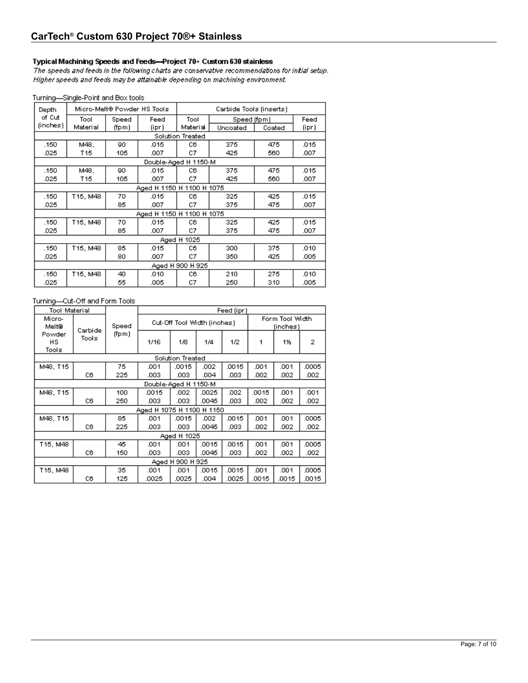### Typical Machining Speeds and Feeds-Project 70+ Custom 630 stainless

The speeds and feeds in the following charts are conservative recommendations for initial setup. Higher speeds and feeds may be attainable depending on machining environment.

#### Turning-Single-Point and Box tools

| Depth    |          | Micro-Melt® Powder HS Tools |                           | Carbide Tools (inserts) |             |        |       |
|----------|----------|-----------------------------|---------------------------|-------------------------|-------------|--------|-------|
| of Cut   | Tool     | Speed                       | Feed                      | Tool                    | Speed (fpm) |        | Feed  |
| (inches) | Material | (fpm)                       | (ipr)                     | Material                | Uncoated    | Coated | (ipr) |
|          |          |                             |                           | Solution Treated        |             |        |       |
| .150     | M48.     | 90                          | .015                      | CВ                      | 375         | 475    | .015  |
| .025     | T15      | 105                         | .007                      | C7                      | 425         | 560    | .007  |
|          |          |                             | Double-Aged H 1150-M      |                         |             |        |       |
| .150     | M48.     | 90                          | .015                      | C6                      | 375         | 475    | .015  |
| .025     | T15      | 105                         | .007                      | C7                      | 425         | 560    | .007  |
|          |          |                             | Aged H 1150 H 1100 H 1075 |                         |             |        |       |
| .150     | T15, M48 | 70                          | .015                      | C6                      | 325         | 425    | .015  |
| .025     |          | 85                          | .007                      | C7                      | 375         | 475    | .007  |
|          |          |                             | Aged H 1150 H 1100 H 1075 |                         |             |        |       |
| .150     | T15, M48 | 70                          | .015                      | CВ                      | 325         | 425    | .015  |
| .025     |          | 85                          | .007                      | C7                      | 375         | 475    | .007  |
|          |          |                             |                           | Aged H 1025             |             |        |       |
| .150     | T15, M48 | 85                          | .015                      | C6                      | 300         | 375    | .010  |
| .025     |          | 80                          | .007                      | C7                      | 350         | 425    | .005  |
|          |          |                             |                           | Aged H 900 H 925        |             |        |       |
| .150     | T15, M48 | 40                          | .010                      | C6                      | 210         | 275    | .010  |
| .025     |          | 55                          | .005                      | C7                      | 250         | 310    | .005  |

## Turning-Cut-Off and Form Tools

| Tool Material          |         |       |                           | Feed (ipr)                  |       |       |       |                             |       |
|------------------------|---------|-------|---------------------------|-----------------------------|-------|-------|-------|-----------------------------|-------|
| Micro-<br>Melt®        | Carbide | Speed |                           | Cut-Off Tool Width (inches) |       |       |       | Form Tool Width<br>(inches) |       |
| Powder<br>HS.<br>Tools | Tools   | (fpm) | 1/16                      | 1/8                         | 1/4   | 1/2   | 1     | 1%                          | 2     |
|                        |         |       |                           | Solution Treated            |       |       |       |                             |       |
| M48, T15               |         | 75.   | .001                      | .0015                       | .002  | .0015 | .001  | .001                        | .0005 |
|                        | C6      | 225   | .003                      | .003                        | .004  | .003  | .002  | .002                        | .002  |
|                        |         |       |                           | Double-Aged H 1150-M        |       |       |       |                             |       |
| M48, T15               |         | 100   | .0015                     | .002                        | .0025 | .002  | .0015 | .001                        | .001  |
|                        | C6      | 250   | .003                      | .003                        | .0045 | .003  | .002  | .002                        | .002  |
|                        |         |       | Aged H 1075 H 1100 H 1150 |                             |       |       |       |                             |       |
| M48, T15               |         | 85    | .001                      | .0015                       | .002  | .0015 | .001  | .001                        | .0005 |
|                        | C6      | 225   | .003                      | .003                        | .0045 | .003  | .002  | .002                        | .002  |
|                        |         |       |                           | Aged H 1025                 |       |       |       |                             |       |
| T15, M48               |         | 45    | .001                      | .001                        | .0015 | 0015  | .001  | .001                        | .0005 |
|                        | C6      | 150   | .003                      | .003                        | .0045 | .003  | .002  | .002                        | .002  |
|                        |         |       |                           | Aged H 900 H 925            |       |       |       |                             |       |
| T15, M48               |         | 35.   | .001                      | .001                        | .0015 | .0015 | .001  | .001                        | .0005 |
|                        | C6      | 125   | .0025                     | .0025                       | .004  | .0025 | .0015 | .0015                       | .0015 |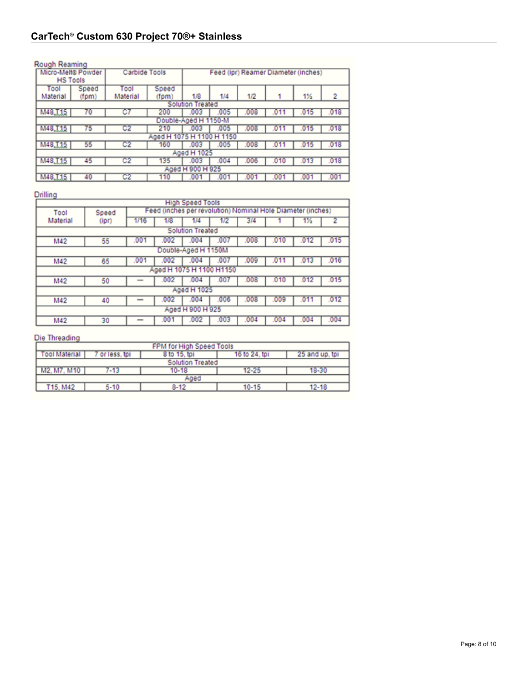## Rough Reaming

|                 | Micro-Melt® Powder<br>Carbide Tools |          | Feed (ipr) Reamer Diameter (inches) |                         |      |      |      |         |      |
|-----------------|-------------------------------------|----------|-------------------------------------|-------------------------|------|------|------|---------|------|
| <b>HS Tools</b> |                                     |          |                                     |                         |      |      |      |         |      |
| Tool            | Speed                               | Tool     | Speed                               |                         |      |      |      |         |      |
| Material        | (fpm)                               | Material | (fpm)                               | 1/8                     | 1/4  | 1/2  |      | 1%      | 2    |
|                 |                                     |          |                                     | <b>Solution Treated</b> |      |      |      |         |      |
| M48, L15        | 70                                  | C7       | 200                                 | .003                    | .005 | .008 |      | 015     | .018 |
|                 |                                     |          |                                     | Double-Aged H 1150-M    |      |      |      |         |      |
| M48.I15         | 75                                  | C2       | 210                                 | .003                    | .005 | .008 |      | 015     | .018 |
|                 |                                     |          | Aged H 1075 H 1100 H 1150           |                         |      |      |      |         |      |
| M48, 115        | 55                                  | C2       | 160                                 | .003                    | .005 | .008 |      | 01<br>٥ | .018 |
|                 |                                     |          |                                     | Aged H 1025             |      |      |      |         |      |
| M48, 115        | 45                                  | C2       | 135                                 | .003                    | .004 | .006 | .010 | .013    | .018 |
|                 |                                     |          |                                     | Aged H 900 H 925        |      |      |      |         |      |
| M48, T15        | 40                                  | C2       | 110                                 | 00                      |      | 0    | 00   |         | .001 |

## Drilling

|          | <b>High Speed Tools</b> |                                                             |                          |                         |      |      |      |      |      |
|----------|-------------------------|-------------------------------------------------------------|--------------------------|-------------------------|------|------|------|------|------|
| Tool     | Speed                   | Feed (inches per revolution) Nominal Hole Diameter (inches) |                          |                         |      |      |      |      |      |
| Material | (ipr)                   | 1/16                                                        | 1/8                      | 1/4                     | 1/2  | 3/4  |      | 1%   |      |
|          |                         |                                                             |                          | <b>Solution Treated</b> |      |      |      |      |      |
| M42      | 55                      | .00                                                         | 002                      | .004                    | .00  | .008 | .010 | .012 | .015 |
|          |                         |                                                             |                          | Double-Aged H 1150M     |      |      |      |      |      |
| M42      | 65                      | .00                                                         | .002                     | .004                    | .00  | .009 | .01  | .013 | .016 |
|          |                         |                                                             | Aged H 1075 H 1100 H1150 |                         |      |      |      |      |      |
| M42      | 50                      |                                                             | .002                     | .004                    | .007 | .008 | .010 | .012 | .015 |
|          |                         |                                                             |                          | Aged H 1025             |      |      |      |      |      |
| M42      | 40                      |                                                             | .002                     | .004                    | .006 | .008 | .009 | .011 | .012 |
|          | Aged H 900 H 925        |                                                             |                          |                         |      |      |      |      |      |
| M42      | 30                      |                                                             | .001                     | .002                    | .003 | .004 | .004 | .004 | .004 |

## Die Threading

| FPM for High Speed Tools |              |                         |               |                |  |  |
|--------------------------|--------------|-------------------------|---------------|----------------|--|--|
| <b>Tool Material</b>     | or less, tpi | 8 to 15, tpi            | 16 to 24, tpi | 25 and up, tpl |  |  |
|                          |              | <b>Solution Treated</b> |               |                |  |  |
| M2, M7, M10              | $-13$        | 10-18                   | $12 - 25$     | 18-30          |  |  |
|                          | Aged         |                         |               |                |  |  |
| T15, M42                 | $5 - 10$     | $8 - 12$                | $10 - 15$     | 12-18          |  |  |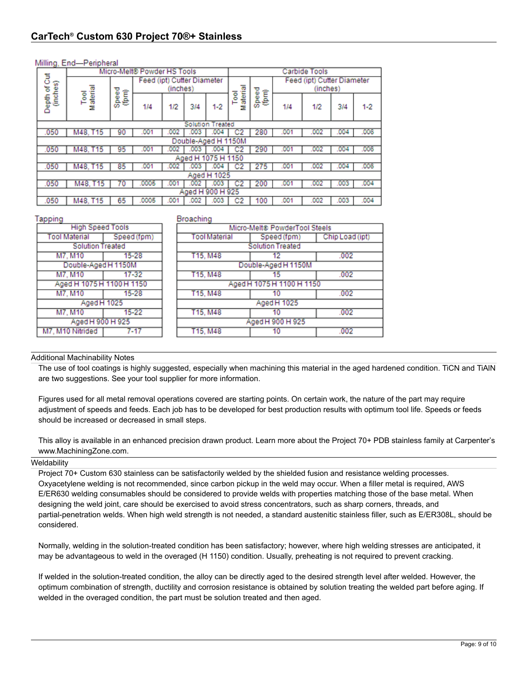| Milling, End-Peripheral |  |  |
|-------------------------|--|--|
|                         |  |  |

|                    | milling, Line i cupucial    |            |                            |          |      |                     |               |                |     |                                        |      |         |
|--------------------|-----------------------------|------------|----------------------------|----------|------|---------------------|---------------|----------------|-----|----------------------------------------|------|---------|
|                    | Micro-Melt® Powder HS Tools |            |                            |          |      |                     |               | Carbide Tools  |     |                                        |      |         |
| of Cut<br>(inches) |                             |            | Feed (ipt) Cutter Diameter | (inches) |      |                     |               |                |     | Feed (ipt) Cutter Diameter<br>(inches) |      |         |
| Depth              | Material<br><b>Pool</b>     | Speed<br>Ē | 1/4                        | 1/2      | 3/4  | $1-2$               | Material<br>ē | Speed<br>(fpm) | 1/4 | 1/2                                    | 3/4  | $1 - 2$ |
|                    | <b>Solution Treated</b>     |            |                            |          |      |                     |               |                |     |                                        |      |         |
| .050               | M48, T15                    | 90         | .001                       | 002      | .003 | 004                 |               | 280            | 00  | 002                                    | .004 | .006    |
|                    |                             |            |                            |          |      | Double-Aged H 1150M |               |                |     |                                        |      |         |
| .050               | M48, T15                    | 95         | .001                       | 002      | .003 | .004                |               | 290            | .00 | 002                                    | .004 | .006    |
|                    |                             |            |                            |          |      | Aged H 1075 H 1150  |               |                |     |                                        |      |         |
| .050               | M48, T15                    | 85         | .001                       | 002      | 003  |                     |               | 27<br>5        | .00 | 002                                    | .004 | .006    |
|                    |                             |            |                            |          |      | Aged H 1025         |               |                |     |                                        |      |         |
| .050               | M48, T15                    | 70         | 0005                       | .001     | 002  | .003                |               | 200            | .00 | 002                                    | .003 | 004     |
|                    |                             |            |                            |          |      | Aged H 900 H 925    |               |                |     |                                        |      |         |
| .050               | M48, T15                    | 65         | 0005                       | 001      | 002  |                     |               | 100            | .00 | 002                                    | .003 | .004    |

#### Tapping

**Tool Material** 

M7, M10 Nitrided

#### Broaching

| ---                       |             | . <del>.</del> <i>.</i> .     |                           |                 |  |  |  |  |  |
|---------------------------|-------------|-------------------------------|---------------------------|-----------------|--|--|--|--|--|
| <b>High Speed Tools</b>   |             | Micro-Melt® PowderTool Steels |                           |                 |  |  |  |  |  |
| ol Material               | Speed (fpm) | Tool Material                 | Speed (fpm)               | Chip Load (ipt) |  |  |  |  |  |
| <b>Solution Treated</b>   |             |                               | <b>Solution Treated</b>   |                 |  |  |  |  |  |
| M7. M10                   | $15 - 28$   | T15, M48                      | 12                        | .002            |  |  |  |  |  |
| Double-Aged H 1150M       |             |                               | Double-Aged H 1150M       |                 |  |  |  |  |  |
| M7. M10                   | $17 - 32$   | T15, M48                      | 15                        | .002            |  |  |  |  |  |
| Aged H 1075 H 1100 H 1150 |             |                               | Aged H 1075 H 1100 H 1150 |                 |  |  |  |  |  |
| M7. M10                   | $15 - 28$   | T15, M48                      | 10                        | .002            |  |  |  |  |  |
| Aged H 1025               |             |                               | Aged H 1025               |                 |  |  |  |  |  |
| M7, M10                   | $15 - 22$   | T15, M48                      | 10                        | .002            |  |  |  |  |  |
| Aged H 900 H 925          |             |                               | Aged H 900 H 925          |                 |  |  |  |  |  |
| M10 Nitrided              | 7-17        | T15, M48                      | 10                        | .002            |  |  |  |  |  |
|                           |             |                               |                           |                 |  |  |  |  |  |

#### Additional Machinability Notes

The use of tool coatings is highly suggested, especially when machining this material in the aged hardened condition. TiCN and TiAlN are two suggestions. See your tool supplier for more information.

Figures used for all metal removal operations covered are starting points. On certain work, the nature of the part may require adjustment of speeds and feeds. Each job has to be developed for best production results with optimum tool life. Speeds or feeds should be increased or decreased in small steps.

This alloy is available in an enhanced precision drawn product. Learn more about the Project 70+ PDB stainless family at Carpenter's www.MachiningZone.com.

#### **Weldability**

Project 70+ Custom 630 stainless can be satisfactorily welded by the shielded fusion and resistance welding processes. Oxyacetylene welding is not recommended, since carbon pickup in the weld may occur. When a filler metal is required, AWS E/ER630 welding consumables should be considered to provide welds with properties matching those of the base metal. When designing the weld joint, care should be exercised to avoid stress concentrators, such as sharp corners, threads, and partial-penetration welds. When high weld strength is not needed, a standard austenitic stainless filler, such as E/ER308L, should be considered.

Normally, welding in the solution-treated condition has been satisfactory; however, where high welding stresses are anticipated, it may be advantageous to weld in the overaged (H 1150) condition. Usually, preheating is not required to prevent cracking.

If welded in the solution-treated condition, the alloy can be directly aged to the desired strength level after welded. However, the optimum combination of strength, ductility and corrosion resistance is obtained by solution treating the welded part before aging. If welded in the overaged condition, the part must be solution treated and then aged.